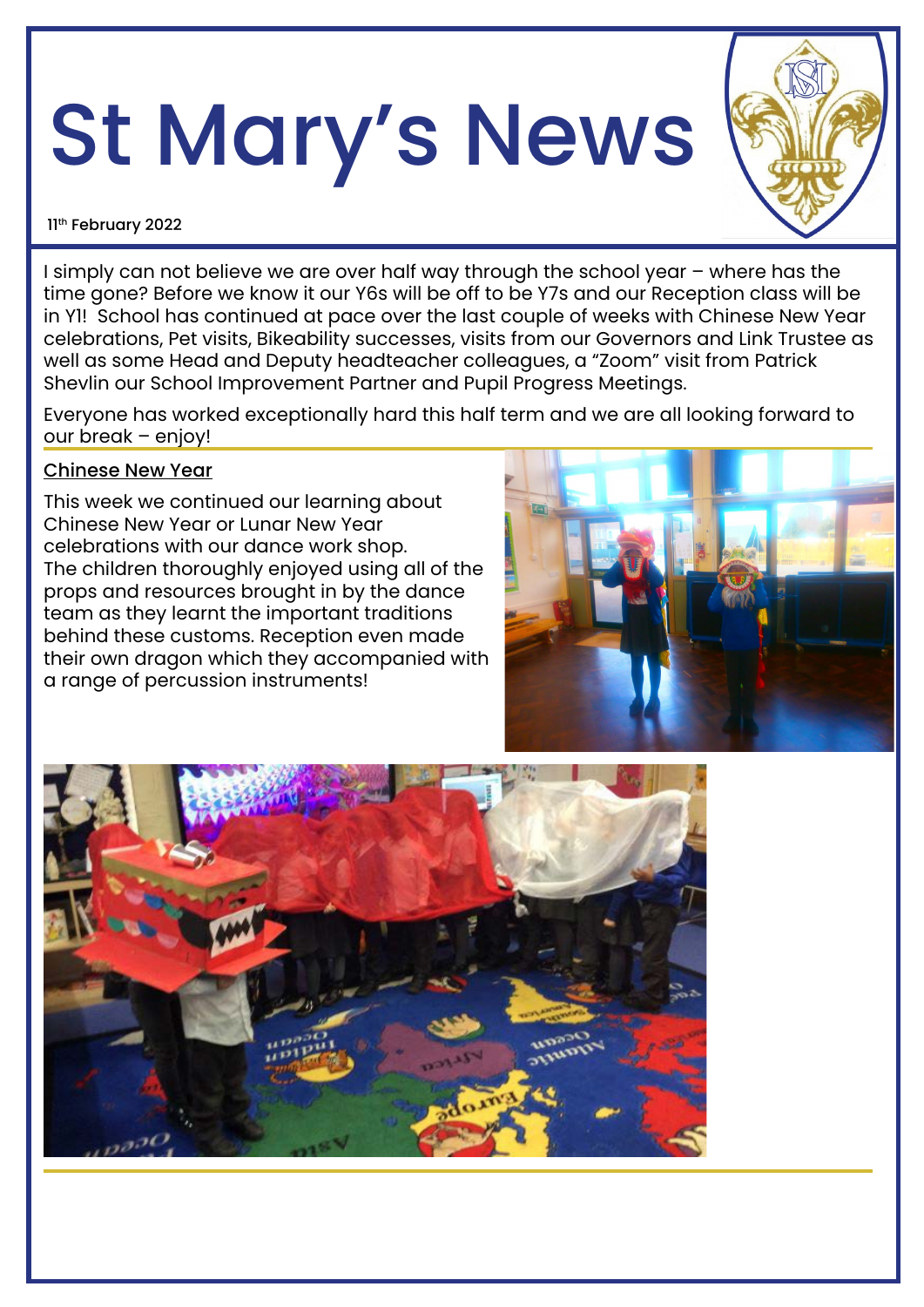# St Mary's News



#### 11th February 2022

I simply can not believe we are over half way through the school year – where has the time gone? Before we know it our Y6s will be off to be Y7s and our Reception class will be in Y1! School has continued at pace over the last couple of weeks with Chinese New Year celebrations, Pet visits, Bikeability successes, visits from our Governors and Link Trustee as well as some Head and Deputy headteacher colleagues, a "Zoom" visit from Patrick Shevlin our School Improvement Partner and Pupil Progress Meetings.

Everyone has worked exceptionally hard this half term and we are all looking forward to our break – enjoy!

### Chinese New Year

This week we continued our learning about Chinese New Year or Lunar New Year celebrations with our dance work shop. The children thoroughly enjoyed using all of the props and resources brought in by the dance team as they learnt the important traditions behind these customs. Reception even made their own dragon which they accompanied with a range of percussion instruments!



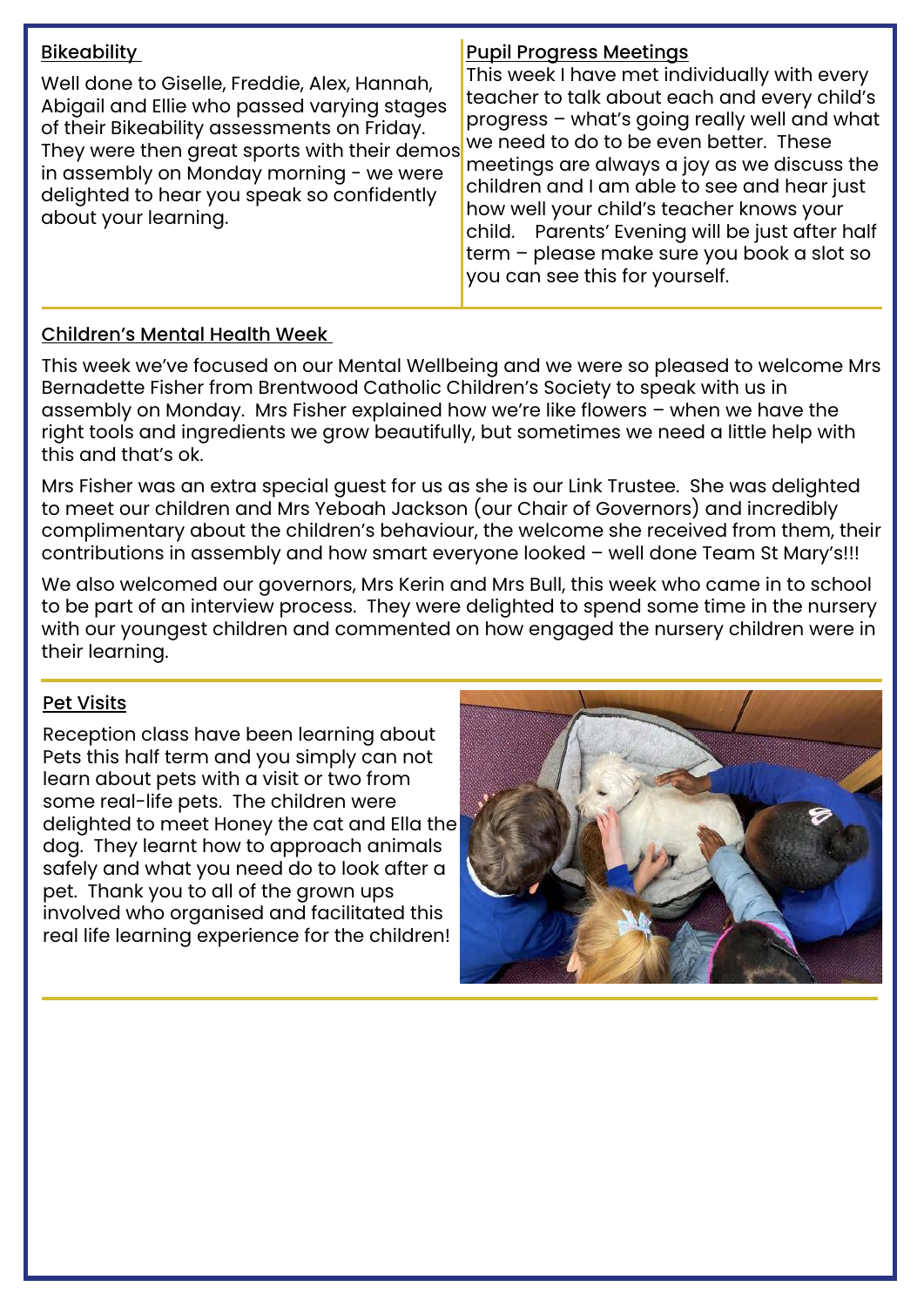| <b>Bikeability</b><br>Well done to Giselle, Freddie, Alex, Hannah,<br>Abigail and Ellie who passed varying stages<br>of their Bikeability assessments on Friday.<br>They were then great sports with their demos<br>in assembly on Monday morning - we were<br>delighted to hear you speak so confidently<br>about your learning. | <b>Pupil Progress Meetings</b><br>This week I have met individually with every<br>teacher to talk about each and every child's<br>progress - what's going really well and what<br>we need to do to be even better. These<br>meetings are always a joy as we discuss the<br>children and I am able to see and hear just<br>how well your child's teacher knows your<br>child. Parents' Evening will be just after half<br>term - please make sure you book a slot so<br>you can see this for yourself. |
|-----------------------------------------------------------------------------------------------------------------------------------------------------------------------------------------------------------------------------------------------------------------------------------------------------------------------------------|-------------------------------------------------------------------------------------------------------------------------------------------------------------------------------------------------------------------------------------------------------------------------------------------------------------------------------------------------------------------------------------------------------------------------------------------------------------------------------------------------------|
|-----------------------------------------------------------------------------------------------------------------------------------------------------------------------------------------------------------------------------------------------------------------------------------------------------------------------------------|-------------------------------------------------------------------------------------------------------------------------------------------------------------------------------------------------------------------------------------------------------------------------------------------------------------------------------------------------------------------------------------------------------------------------------------------------------------------------------------------------------|

# Children's Mental Health Week

This week we've focused on our Mental Wellbeing and we were so pleased to welcome Mrs Bernadette Fisher from Brentwood Catholic Children's Society to speak with us in assembly on Monday. Mrs Fisher explained how we're like flowers – when we have the right tools and ingredients we grow beautifully, but sometimes we need a little help with this and that's ok.

Mrs Fisher was an extra special guest for us as she is our Link Trustee. She was delighted to meet our children and Mrs Yeboah Jackson (our Chair of Governors) and incredibly complimentary about the children's behaviour, the welcome she received from them, their contributions in assembly and how smart everyone looked – well done Team St Mary's!!!

We also welcomed our governors, Mrs Kerin and Mrs Bull, this week who came in to school to be part of an interview process. They were delighted to spend some time in the nursery with our youngest children and commented on how engaged the nursery children were in their learning.

## Pet Visits

Reception class have been learning about Pets this half term and you simply can not learn about pets with a visit or two from some real-life pets. The children were delighted to meet Honey the cat and Ella the dog. They learnt how to approach animals safely and what you need do to look after a pet. Thank you to all of the grown ups involved who organised and facilitated this real life learning experience for the children!